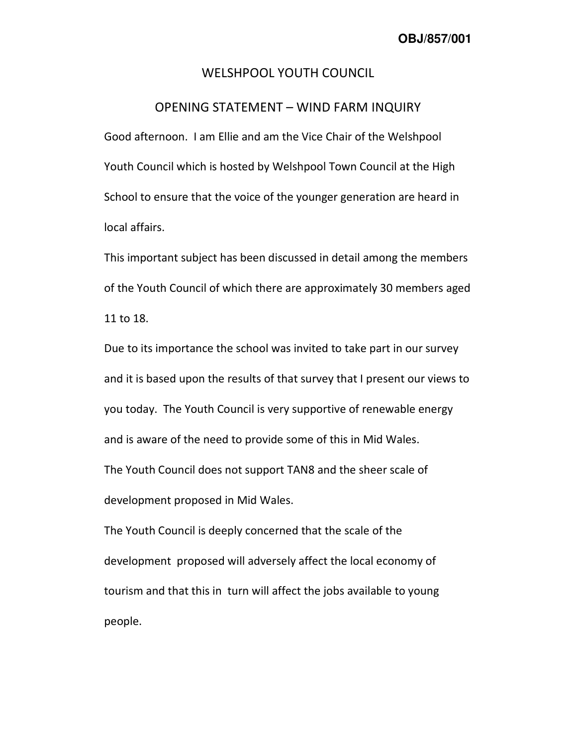## WELSHPOOL YOUTH COUNCIL

## OPENING STATEMENT – WIND FARM INQUIRY

Good afternoon. I am Ellie and am the Vice Chair of the Welshpool Youth Council which is hosted by Welshpool Town Council at the High School to ensure that the voice of the younger generation are heard in local affairs.

This important subject has been discussed in detail among the members of the Youth Council of which there are approximately 30 members aged 11 to 18.

Due to its importance the school was invited to take part in our survey and it is based upon the results of that survey that I present our views to you today. The Youth Council is very supportive of renewable energy and is aware of the need to provide some of this in Mid Wales. The Youth Council does not support TAN8 and the sheer scale of development proposed in Mid Wales.

The Youth Council is deeply concerned that the scale of the development proposed will adversely affect the local economy of tourism and that this in turn will affect the jobs available to young people.